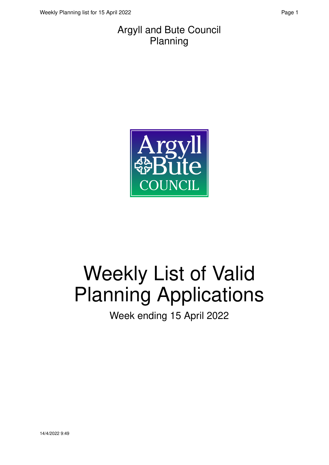#### Argyll and Bute Council Planning



# Weekly List of Valid Planning Applications

Week ending 15 April 2022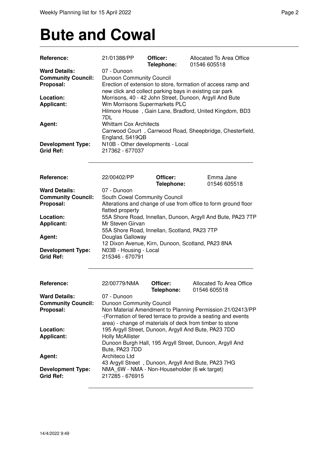### **Bute and Cowal**

| Reference:                                         | 21/01388/PP                                             | Officer:<br>Telephone: | Allocated To Area Office<br>01546 605518                       |  |
|----------------------------------------------------|---------------------------------------------------------|------------------------|----------------------------------------------------------------|--|
| <b>Ward Details:</b>                               | 07 - Dunoon                                             |                        |                                                                |  |
| <b>Community Council:</b>                          | Dunoon Community Council                                |                        |                                                                |  |
| Proposal:                                          |                                                         |                        | Erection of extension to store, formation of access ramp and   |  |
|                                                    | new click and collect parking bays in existing car park |                        |                                                                |  |
| Location:                                          |                                                         |                        | Morrisons, 40 - 42 John Street, Dunoon, Argyll And Bute        |  |
|                                                    | Wm Morrisons Supermarkets PLC                           |                        |                                                                |  |
| <b>Applicant:</b>                                  |                                                         |                        | Hilmore House, Gain Lane, Bradford, United Kingdom, BD3        |  |
|                                                    | 7DL                                                     |                        |                                                                |  |
|                                                    | <b>Whittam Cox Architects</b>                           |                        |                                                                |  |
| Agent:                                             |                                                         |                        |                                                                |  |
|                                                    |                                                         |                        | Carrwood Court, Carrwood Road, Sheepbridge, Chesterfield,      |  |
|                                                    | England, S419QB                                         |                        |                                                                |  |
| <b>Development Type:</b>                           | N10B - Other developments - Local                       |                        |                                                                |  |
| <b>Grid Ref:</b>                                   | 217362 - 677037                                         |                        |                                                                |  |
|                                                    |                                                         |                        |                                                                |  |
|                                                    |                                                         |                        |                                                                |  |
| <b>Reference:</b>                                  | 22/00402/PP                                             | Officer:               | Emma Jane                                                      |  |
|                                                    |                                                         | Telephone:             | 01546 605518                                                   |  |
| <b>Ward Details:</b>                               | 07 - Dunoon                                             |                        |                                                                |  |
| <b>Community Council:</b>                          | South Cowal Community Council                           |                        |                                                                |  |
| Proposal:                                          |                                                         |                        | Alterations and change of use from office to form ground floor |  |
|                                                    | flatted property                                        |                        |                                                                |  |
| Location:                                          |                                                         |                        | 55A Shore Road, Innellan, Dunoon, Argyll And Bute, PA23 7TP    |  |
| <b>Applicant:</b>                                  | Mr Steven Girvan                                        |                        |                                                                |  |
|                                                    | 55A Shore Road, Innellan, Scotland, PA23 7TP            |                        |                                                                |  |
| Agent:                                             | Douglas Galloway                                        |                        |                                                                |  |
|                                                    |                                                         |                        | 12 Dixon Avenue, Kirn, Dunoon, Scotland, PA23 8NA              |  |
| <b>Development Type:</b>                           | N03B - Housing - Local                                  |                        |                                                                |  |
| <b>Grid Ref:</b>                                   | 215346 - 670791                                         |                        |                                                                |  |
|                                                    |                                                         |                        |                                                                |  |
| Reference:                                         | 22/00779/NMA                                            | Officer:               | Allocated To Area Office<br>01546 605518                       |  |
|                                                    |                                                         | Telephone:             |                                                                |  |
| <b>Ward Details:</b>                               | 07 - Dunoon                                             |                        |                                                                |  |
| <b>Community Council:</b> Dunoon Community Council |                                                         |                        |                                                                |  |
| Proposal:                                          |                                                         |                        | Non Material Amendment to Planning Permission 21/02413/PP      |  |
|                                                    |                                                         |                        | -(Formation of tiered terrace to provide a seating and events  |  |
|                                                    |                                                         |                        | area) - change of materials of deck from timber to stone       |  |
| Location:                                          |                                                         |                        | 195 Argyll Street, Dunoon, Argyll And Bute, PA23 7DD           |  |
| <b>Applicant:</b>                                  | <b>Holly McAllister</b>                                 |                        |                                                                |  |
|                                                    |                                                         |                        | Dunoon Burgh Hall, 195 Argyll Street, Dunoon, Argyll And       |  |
|                                                    | Bute, PA23 7DD                                          |                        |                                                                |  |
| Agent:                                             | Architeco Ltd                                           |                        |                                                                |  |
|                                                    |                                                         |                        | 43 Argyll Street, Dunoon, Argyll And Bute, PA23 7HG            |  |
| <b>Development Type:</b>                           | NMA 6W - NMA - Non-Householder (6 wk target)            |                        |                                                                |  |
| <b>Grid Ref:</b>                                   | 217285 - 676915                                         |                        |                                                                |  |
|                                                    |                                                         |                        |                                                                |  |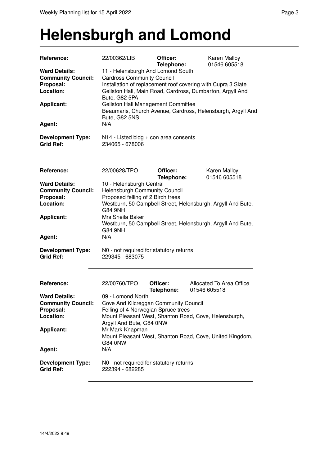#### **Helensburgh and Lomond**

| Reference:                                        | 22/00362/LIB                                                                                                                               | Officer:<br>Telephone: | Karen Malloy<br>01546 605518                                |
|---------------------------------------------------|--------------------------------------------------------------------------------------------------------------------------------------------|------------------------|-------------------------------------------------------------|
| <b>Ward Details:</b><br><b>Community Council:</b> | 11 - Helensburgh And Lomond South<br><b>Cardross Community Council</b>                                                                     |                        |                                                             |
| Proposal:<br>Location:                            | Installation of replacement roof covering with Cupra 3 Slate<br>Geilston Hall, Main Road, Cardross, Dumbarton, Argyll And<br>Bute, G82 5PA |                        |                                                             |
| <b>Applicant:</b>                                 | Geilston Hall Management Committee<br>Bute, G82 5NS                                                                                        |                        | Beaumaris, Church Avenue, Cardross, Helensburgh, Argyll And |
| Agent:                                            | N/A                                                                                                                                        |                        |                                                             |
| <b>Development Type:</b><br><b>Grid Ref:</b>      | N14 - Listed bldg + con area consents<br>234065 - 678006                                                                                   |                        |                                                             |
| Reference:                                        | 22/00628/TPO                                                                                                                               | Officer:<br>Telephone: | Karen Malloy<br>01546 605518                                |
| <b>Ward Details:</b>                              | 10 - Helensburgh Central                                                                                                                   |                        |                                                             |
| <b>Community Council:</b><br>Proposal:            | <b>Helensburgh Community Council</b><br>Proposed felling of 2 Birch trees                                                                  |                        |                                                             |
| Location:                                         | G84 9NH                                                                                                                                    |                        | Westburn, 50 Campbell Street, Helensburgh, Argyll And Bute, |
| <b>Applicant:</b>                                 | Mrs Sheila Baker<br>G84 9NH                                                                                                                |                        | Westburn, 50 Campbell Street, Helensburgh, Argyll And Bute, |
| Agent:                                            | N/A                                                                                                                                        |                        |                                                             |
| <b>Development Type:</b><br><b>Grid Ref:</b>      | N0 - not required for statutory returns<br>229345 - 683075                                                                                 |                        |                                                             |
| Reference:                                        | 22/00760/TPO                                                                                                                               | Officer:<br>Telephone: | Allocated To Area Office<br>01546 605518                    |
| <b>Ward Details:</b>                              | 09 - Lomond North                                                                                                                          |                        |                                                             |
| <b>Community Council:</b>                         | Cove And Kilcreggan Community Council                                                                                                      |                        |                                                             |
| Proposal:<br>Location:                            | Felling of 4 Norwegian Spruce trees<br>Argyll And Bute, G84 0NW                                                                            |                        | Mount Pleasant West, Shanton Road, Cove, Helensburgh,       |
| <b>Applicant:</b>                                 | Mr Mark Knapman<br>G84 0NW                                                                                                                 |                        | Mount Pleasant West, Shanton Road, Cove, United Kingdom,    |
| Agent:                                            | N/A                                                                                                                                        |                        |                                                             |
| <b>Development Type:</b><br><b>Grid Ref:</b>      | N0 - not required for statutory returns<br>222394 - 682285                                                                                 |                        |                                                             |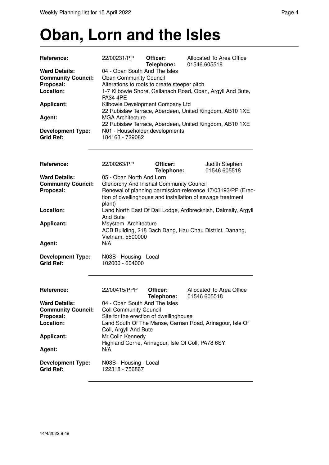#### **Oban, Lorn and the Isles**

| Reference:                                   | 22/00231/PP                                                                        | Officer:<br>Telephone: | Allocated To Area Office<br>01546 605518                   |  |
|----------------------------------------------|------------------------------------------------------------------------------------|------------------------|------------------------------------------------------------|--|
| <b>Ward Details:</b>                         | 04 - Oban South And The Isles                                                      |                        |                                                            |  |
| <b>Community Council:</b>                    | <b>Oban Community Council</b>                                                      |                        |                                                            |  |
| Proposal:                                    | Alterations to roofs to create steeper pitch                                       |                        |                                                            |  |
| Location:                                    | <b>PA34 4PE</b>                                                                    |                        | 1-7 Kilbowie Shore, Gallanach Road, Oban, Argyll And Bute, |  |
| <b>Applicant:</b>                            | Kilbowie Development Company Ltd                                                   |                        |                                                            |  |
| Agent:                                       | 22 Rubislaw Terrace, Aberdeen, United Kingdom, AB10 1XE<br><b>MGA Architecture</b> |                        |                                                            |  |
|                                              |                                                                                    |                        | 22 Rubislaw Terrace, Aberdeen, United Kingdom, AB10 1XE    |  |
| <b>Development Type:</b><br><b>Grid Ref:</b> | N01 - Householder developments<br>184163 - 729082                                  |                        |                                                            |  |

| Reference:                                   | 22/00263/PP                                                                                         | Officer:   | Judith Stephen                                              |
|----------------------------------------------|-----------------------------------------------------------------------------------------------------|------------|-------------------------------------------------------------|
|                                              |                                                                                                     | Telephone: | 01546 605518                                                |
| <b>Ward Details:</b>                         | 05 - Oban North And Lorn                                                                            |            |                                                             |
| <b>Community Council:</b>                    | Glenorchy And Inishail Community Council                                                            |            |                                                             |
| Proposal:                                    |                                                                                                     |            | Renewal of planning permission reference 17/03193/PP (Erec- |
|                                              | tion of dwellinghouse and installation of sewage treatment<br>plant)                                |            |                                                             |
| Location:                                    | Land North East Of Dali Lodge, Ardbrecknish, Dalmally, Argyll<br>And Bute                           |            |                                                             |
| <b>Applicant:</b>                            | Msystem Architecture<br>ACB Building, 218 Bach Dang, Hau Chau District, Danang,<br>Vietnam, 5500000 |            |                                                             |
| Agent:                                       | N/A                                                                                                 |            |                                                             |
| <b>Development Type:</b><br><b>Grid Ref:</b> | N03B - Housing - Local<br>102000 - 604000                                                           |            |                                                             |

| <b>Reference:</b>                            | 22/00415/PPP                                                           | Officer:<br>Telephone: | Allocated To Area Office<br>01546 605518                 |
|----------------------------------------------|------------------------------------------------------------------------|------------------------|----------------------------------------------------------|
| <b>Ward Details:</b>                         | 04 - Oban South And The Isles                                          |                        |                                                          |
| <b>Community Council:</b>                    | <b>Coll Community Council</b>                                          |                        |                                                          |
| Proposal:                                    | Site for the erection of dwellinghouse                                 |                        |                                                          |
| Location:                                    | Coll, Argyll And Bute                                                  |                        | Land South Of The Manse, Carnan Road, Arinagour, Isle Of |
| <b>Applicant:</b>                            | Mr Colin Kennedy<br>Highland Corrie, Arinagour, Isle Of Coll, PA78 6SY |                        |                                                          |
| Agent:                                       | N/A                                                                    |                        |                                                          |
| <b>Development Type:</b><br><b>Grid Ref:</b> | N03B - Housing - Local<br>122318 - 756867                              |                        |                                                          |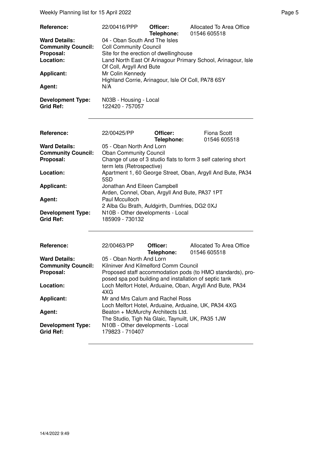| Reference:                                   | 22/00416/PPP                                                           | Officer:<br>Telephone: | Allocated To Area Office<br>01546 605518                      |  |
|----------------------------------------------|------------------------------------------------------------------------|------------------------|---------------------------------------------------------------|--|
| <b>Ward Details:</b>                         | 04 - Oban South And The Isles<br><b>Coll Community Council</b>         |                        |                                                               |  |
| <b>Community Council:</b>                    |                                                                        |                        |                                                               |  |
| Proposal:                                    | Site for the erection of dwellinghouse                                 |                        |                                                               |  |
| Location:                                    | Land North East Of Arinagour Primary School, Arinagour, Isle           |                        |                                                               |  |
|                                              | Of Coll, Argyll And Bute                                               |                        |                                                               |  |
| <b>Applicant:</b>                            | Mr Colin Kennedy<br>Highland Corrie, Arinagour, Isle Of Coll, PA78 6SY |                        |                                                               |  |
| Agent:                                       | N/A                                                                    |                        |                                                               |  |
| <b>Development Type:</b><br><b>Grid Ref:</b> | N03B - Housing - Local<br>122420 - 757057                              |                        |                                                               |  |
| Reference:                                   | 22/00425/PP                                                            | Officer:               | <b>Fiona Scott</b>                                            |  |
|                                              |                                                                        | Telephone:             | 01546 605518                                                  |  |
| <b>Ward Details:</b>                         | 05 - Oban North And Lorn                                               |                        |                                                               |  |
| <b>Community Council:</b>                    | <b>Oban Community Council</b>                                          |                        |                                                               |  |
| Proposal:                                    |                                                                        |                        | Change of use of 3 studio flats to form 3 self catering short |  |
|                                              | term lets (Retrospective)                                              |                        |                                                               |  |
| Location:                                    |                                                                        |                        | Apartment 1, 60 George Street, Oban, Argyll And Bute, PA34    |  |
|                                              | 5SD                                                                    |                        |                                                               |  |
| <b>Applicant:</b>                            |                                                                        |                        |                                                               |  |
|                                              | Jonathan And Eileen Campbell                                           |                        |                                                               |  |
| Agent:                                       | Arden, Connel, Oban, Argyll And Bute, PA37 1PT<br>Paul Mcculloch       |                        |                                                               |  |
|                                              | 2 Alba Gu Brath, Auldgirth, Dumfries, DG2 0XJ                          |                        |                                                               |  |
|                                              |                                                                        |                        |                                                               |  |
| <b>Development Type:</b><br><b>Grid Ref:</b> | N10B - Other developments - Local<br>185909 - 730132                   |                        |                                                               |  |
|                                              |                                                                        |                        |                                                               |  |
| Reference:                                   | 22/00463/PP                                                            | Officer:<br>Telephone: | Allocated To Area Office<br>01546 605518                      |  |
| <b>Ward Details:</b>                         | 05 - Oban North And Lorn                                               |                        |                                                               |  |
| <b>Community Council:</b>                    | Kilninver And Kilmelford Comm Council                                  |                        |                                                               |  |
| Proposal:                                    |                                                                        |                        | Proposed staff accommodation pods (to HMO standards), pro-    |  |
|                                              |                                                                        |                        | posed spa pod building and installation of septic tank        |  |
| Location:                                    |                                                                        |                        | Loch Melfort Hotel, Arduaine, Oban, Argyll And Bute, PA34     |  |
|                                              | 4XG                                                                    |                        |                                                               |  |
| <b>Applicant:</b>                            | Mr and Mrs Calum and Rachel Ross                                       |                        |                                                               |  |
|                                              |                                                                        |                        | Loch Melfort Hotel, Arduaine, Arduaine, UK, PA34 4XG          |  |
| Agent:                                       | Beaton + McMurchy Architects Ltd.                                      |                        |                                                               |  |
|                                              | The Studio, Tigh Na Glaic, Taynuilt, UK, PA35 1JW                      |                        |                                                               |  |
| <b>Development Type:</b><br><b>Grid Ref:</b> | N10B - Other developments - Local<br>179823 - 710407                   |                        |                                                               |  |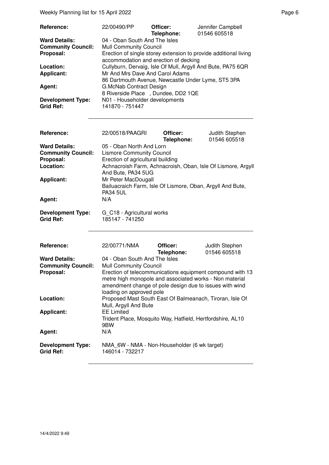Weekly Planning list for 15 April 2022 **Page 6** Page 6

| Reference:                | 22/00490/PP                                        | Officer:<br>Telephone: | Jennifer Campbell<br>01546 605518                                |
|---------------------------|----------------------------------------------------|------------------------|------------------------------------------------------------------|
| <b>Ward Details:</b>      | 04 - Oban South And The Isles                      |                        |                                                                  |
| <b>Community Council:</b> | <b>Mull Community Council</b>                      |                        |                                                                  |
| Proposal:                 | accommodation and erection of decking              |                        | Erection of single storey extension to provide additional living |
| Location:                 |                                                    |                        | Cullyburn, Dervaig, Isle Of Mull, Argyll And Bute, PA75 6QR      |
| <b>Applicant:</b>         | Mr And Mrs Dave And Carol Adams                    |                        |                                                                  |
|                           | 86 Dartmouth Avenue, Newcastle Under Lyme, ST5 3PA |                        |                                                                  |
| Agent:                    | G.McNab Contract Design                            |                        |                                                                  |
|                           | 8 Riverside Place, Dundee, DD2 1QE                 |                        |                                                                  |
| <b>Development Type:</b>  | N01 - Householder developments                     |                        |                                                                  |
| <b>Grid Ref:</b>          | 141870 - 751447                                    |                        |                                                                  |
|                           |                                                    |                        |                                                                  |
|                           |                                                    |                        |                                                                  |

| Reference:                | 22/00518/PAAGRI                                              | Officer:   | Judith Stephen |
|---------------------------|--------------------------------------------------------------|------------|----------------|
|                           |                                                              | Telephone: | 01546 605518   |
| <b>Ward Details:</b>      | 05 - Oban North And Lorn                                     |            |                |
| <b>Community Council:</b> | <b>Lismore Community Council</b>                             |            |                |
| Proposal:                 | Erection of agricultural building                            |            |                |
| Location:                 | Achnacroish Farm, Achnacroish, Oban, Isle Of Lismore, Argyll |            |                |
|                           | And Bute, PA34 5UG                                           |            |                |
| <b>Applicant:</b>         | Mr Peter MacDougall                                          |            |                |
|                           | Bailuacraich Farm, Isle Of Lismore, Oban, Argyll And Bute,   |            |                |
|                           | <b>PA34 5UL</b>                                              |            |                |
| Agent:                    | N/A                                                          |            |                |
| <b>Development Type:</b>  | G C18 - Agricultural works                                   |            |                |
| <b>Grid Ref:</b>          | 185147 - 741250                                              |            |                |
|                           |                                                              |            |                |
|                           |                                                              |            |                |

| Reference:                                   | 22/00771/NMA                                                                                                                                                                                                | Officer:   | Judith Stephen |
|----------------------------------------------|-------------------------------------------------------------------------------------------------------------------------------------------------------------------------------------------------------------|------------|----------------|
|                                              |                                                                                                                                                                                                             | Telephone: | 01546 605518   |
| <b>Ward Details:</b>                         | 04 - Oban South And The Isles                                                                                                                                                                               |            |                |
| <b>Community Council:</b>                    | <b>Mull Community Council</b>                                                                                                                                                                               |            |                |
| Proposal:                                    | Erection of telecommunications equipment compound with 13<br>metre high monopole and associated works - Non material<br>amendment change of pole design due to issues with wind<br>loading on approved pole |            |                |
| Location:                                    | Proposed Mast South East Of Balmeanach, Tiroran, Isle Of<br>Mull, Argyll And Bute                                                                                                                           |            |                |
| <b>Applicant:</b>                            | <b>EE Limited</b><br>Trident Place, Mosquito Way, Hatfield, Hertfordshire, AL10<br>9 <sub>B</sub> W                                                                                                         |            |                |
| Agent:                                       | N/A                                                                                                                                                                                                         |            |                |
| <b>Development Type:</b><br><b>Grid Ref:</b> | NMA 6W - NMA - Non-Householder (6 wk target)<br>146014 - 732217                                                                                                                                             |            |                |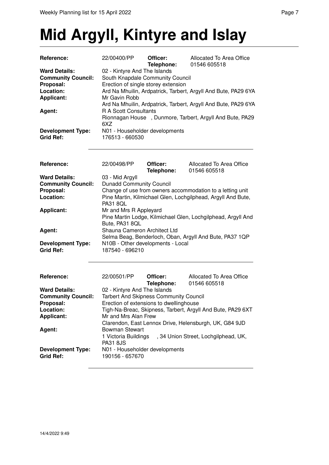## **Mid Argyll, Kintyre and Islay**

| Reference:                                                                                       | 22/00400/PP                                                                                                                                                                                                                                                  | Officer:<br>Telephone: | Allocated To Area Office<br>01546 605518                     |
|--------------------------------------------------------------------------------------------------|--------------------------------------------------------------------------------------------------------------------------------------------------------------------------------------------------------------------------------------------------------------|------------------------|--------------------------------------------------------------|
| <b>Ward Details:</b><br><b>Community Council:</b><br>Proposal:<br>Location:<br><b>Applicant:</b> | 02 - Kintyre And The Islands<br>South Knapdale Community Council<br>Erection of single storey extension<br>Ard Na Mhuilin, Ardpatrick, Tarbert, Argyll And Bute, PA29 6YA<br>Mr Gavin Robb<br>Ard Na Mhuilin, Ardpatrick, Tarbert, Argyll And Bute, PA29 6YA |                        |                                                              |
| Agent:                                                                                           | <b>R A Scott Consultants</b><br>6XZ                                                                                                                                                                                                                          |                        | Rionnagan House, Dunmore, Tarbert, Argyll And Bute, PA29     |
| <b>Development Type:</b><br><b>Grid Ref:</b>                                                     | N01 - Householder developments<br>176513 - 660530                                                                                                                                                                                                            |                        |                                                              |
| Reference:                                                                                       | 22/00498/PP                                                                                                                                                                                                                                                  | Officer:<br>Telephone: | Allocated To Area Office<br>01546 605518                     |
| <b>Ward Details:</b>                                                                             | 03 - Mid Argyll                                                                                                                                                                                                                                              |                        |                                                              |
| <b>Community Council:</b>                                                                        | <b>Dunadd Community Council</b>                                                                                                                                                                                                                              |                        |                                                              |
| Proposal:                                                                                        |                                                                                                                                                                                                                                                              |                        | Change of use from owners accommodation to a letting unit    |
| Location:                                                                                        | Pine Martin, Kilmichael Glen, Lochgilphead, Argyll And Bute,<br><b>PA31 80L</b>                                                                                                                                                                              |                        |                                                              |
| <b>Applicant:</b>                                                                                | Mr and Mrs R Appleyard<br>Bute, PA31 8QL                                                                                                                                                                                                                     |                        | Pine Martin Lodge, Kilmichael Glen, Lochgilphead, Argyll And |
| Agent:                                                                                           | Shauna Cameron Architect Ltd                                                                                                                                                                                                                                 |                        | Selma Beag, Benderloch, Oban, Argyll And Bute, PA37 1QP      |
| <b>Development Type:</b><br><b>Grid Ref:</b>                                                     | N10B - Other developments - Local<br>187540 - 696210                                                                                                                                                                                                         |                        |                                                              |
| Reference:                                                                                       | 22/00501/PP                                                                                                                                                                                                                                                  | Officer:<br>Telephone: | Allocated To Area Office<br>01546 605518                     |
| <b>Ward Details:</b>                                                                             | 02 - Kintyre And The Islands                                                                                                                                                                                                                                 |                        |                                                              |
| <b>Community Council:</b>                                                                        | <b>Tarbert And Skipness Community Council</b>                                                                                                                                                                                                                |                        |                                                              |
| Proposal:                                                                                        | Erection of extensions to dwellinghouse                                                                                                                                                                                                                      |                        |                                                              |
| Location:                                                                                        |                                                                                                                                                                                                                                                              |                        | Tigh-Na-Breac, Skipness, Tarbert, Argyll And Bute, PA29 6XT  |
| <b>Applicant:</b>                                                                                | Mr and Mrs Alan Frew                                                                                                                                                                                                                                         |                        |                                                              |
|                                                                                                  |                                                                                                                                                                                                                                                              |                        | Clarendon, East Lennox Drive, Helensburgh, UK, G84 9JD       |
| Agent:                                                                                           | <b>Bowman Stewart</b><br>1 Victoria Buildings<br><b>PA31 8JS</b>                                                                                                                                                                                             |                        | , 34 Union Street, Lochgilphead, UK,                         |
| <b>Development Type:</b><br><b>Grid Ref:</b>                                                     | N01 - Householder developments<br>190156 - 657670                                                                                                                                                                                                            |                        |                                                              |